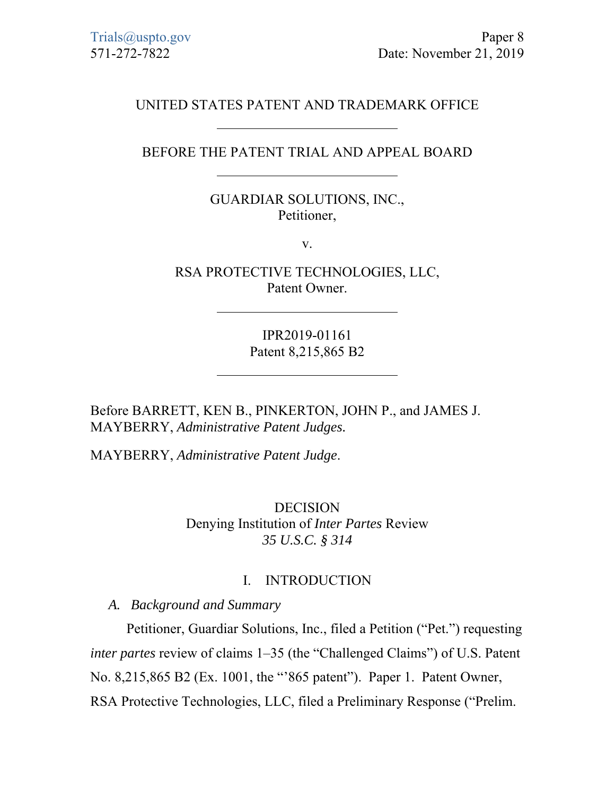# UNITED STATES PATENT AND TRADEMARK OFFICE

# BEFORE THE PATENT TRIAL AND APPEAL BOARD

## GUARDIAR SOLUTIONS, INC., Petitioner,

v.

RSA PROTECTIVE TECHNOLOGIES, LLC, Patent Owner.

> IPR2019-01161 Patent 8,215,865 B2

Before BARRETT, KEN B., PINKERTON, JOHN P., and JAMES J. MAYBERRY, *Administrative Patent Judges.* 

MAYBERRY, *Administrative Patent Judge*.

DECISION Denying Institution of *Inter Partes* Review *35 U.S.C. § 314*

#### I. INTRODUCTION

*A. Background and Summary* 

Petitioner, Guardiar Solutions, Inc., filed a Petition ("Pet.") requesting *inter partes* review of claims 1–35 (the "Challenged Claims") of U.S. Patent No. 8,215,865 B2 (Ex. 1001, the "'865 patent"). Paper 1. Patent Owner, RSA Protective Technologies, LLC, filed a Preliminary Response ("Prelim.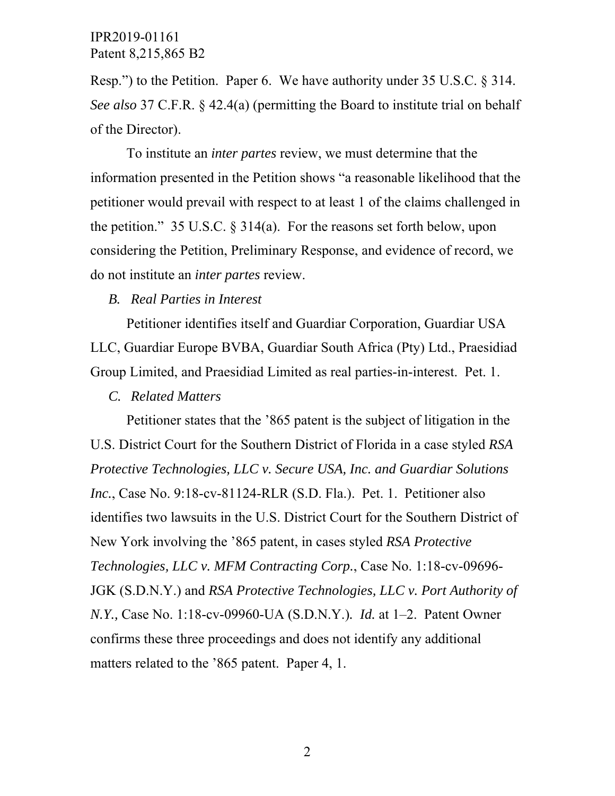Resp.") to the Petition. Paper 6. We have authority under 35 U.S.C. § 314. *See also* 37 C.F.R. § 42.4(a) (permitting the Board to institute trial on behalf of the Director).

To institute an *inter partes* review, we must determine that the information presented in the Petition shows "a reasonable likelihood that the petitioner would prevail with respect to at least 1 of the claims challenged in the petition." 35 U.S.C. § 314(a). For the reasons set forth below, upon considering the Petition, Preliminary Response, and evidence of record, we do not institute an *inter partes* review.

#### *B. Real Parties in Interest*

Petitioner identifies itself and Guardiar Corporation, Guardiar USA LLC, Guardiar Europe BVBA, Guardiar South Africa (Pty) Ltd., Praesidiad Group Limited, and Praesidiad Limited as real parties-in-interest. Pet. 1.

#### *C. Related Matters*

Petitioner states that the '865 patent is the subject of litigation in the U.S. District Court for the Southern District of Florida in a case styled *RSA Protective Technologies, LLC v. Secure USA, Inc. and Guardiar Solutions Inc.*, Case No. 9:18-cv-81124-RLR (S.D. Fla.). Pet. 1. Petitioner also identifies two lawsuits in the U.S. District Court for the Southern District of New York involving the '865 patent, in cases styled *RSA Protective Technologies, LLC v. MFM Contracting Corp.*, Case No. 1:18-cv-09696- JGK (S.D.N.Y.) and *RSA Protective Technologies, LLC v. Port Authority of N.Y.,* Case No. 1:18-cv-09960-UA (S.D.N.Y.)*. Id.* at 1–2. Patent Owner confirms these three proceedings and does not identify any additional matters related to the '865 patent. Paper 4, 1.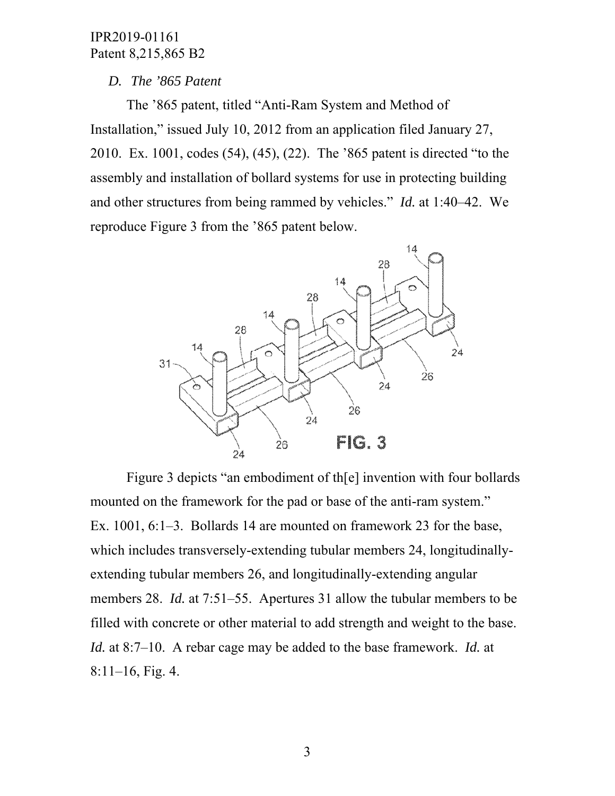#### *D. The '865 Patent*

The '865 patent, titled "Anti-Ram System and Method of Installation," issued July 10, 2012 from an application filed January 27, 2010. Ex. 1001, codes (54), (45), (22). The '865 patent is directed "to the assembly and installation of bollard systems for use in protecting building and other structures from being rammed by vehicles." *Id.* at 1:40–42. We reproduce Figure 3 from the '865 patent below.



Figure 3 depicts "an embodiment of th[e] invention with four bollards mounted on the framework for the pad or base of the anti-ram system." Ex. 1001, 6:1–3. Bollards 14 are mounted on framework 23 for the base, which includes transversely-extending tubular members 24, longitudinallyextending tubular members 26, and longitudinally-extending angular members 28. *Id.* at 7:51–55. Apertures 31 allow the tubular members to be filled with concrete or other material to add strength and weight to the base. *Id.* at 8:7–10. A rebar cage may be added to the base framework. *Id.* at 8:11–16, Fig. 4.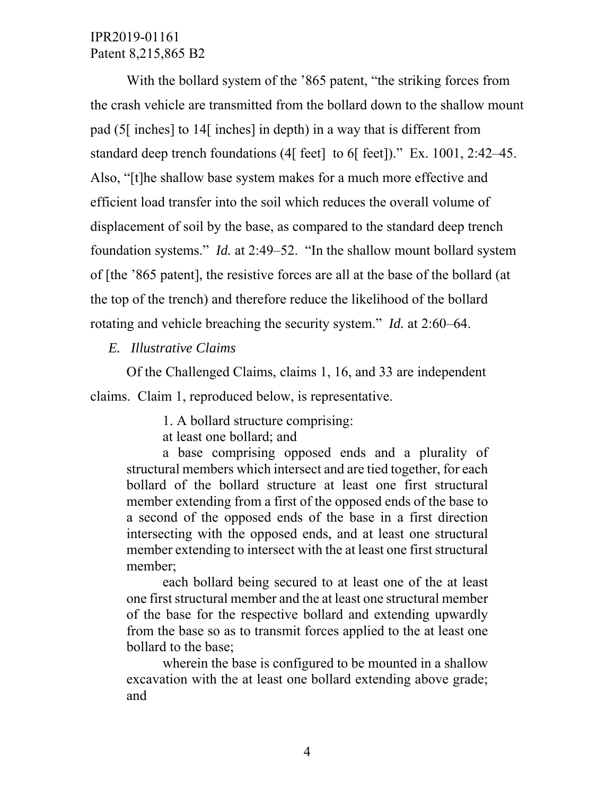With the bollard system of the '865 patent, "the striking forces from the crash vehicle are transmitted from the bollard down to the shallow mount pad (5[ inches] to 14[ inches] in depth) in a way that is different from standard deep trench foundations (4[ feet] to 6[ feet])." Ex. 1001, 2:42–45. Also, "[t]he shallow base system makes for a much more effective and efficient load transfer into the soil which reduces the overall volume of displacement of soil by the base, as compared to the standard deep trench foundation systems." *Id.* at 2:49–52. "In the shallow mount bollard system of [the '865 patent], the resistive forces are all at the base of the bollard (at the top of the trench) and therefore reduce the likelihood of the bollard rotating and vehicle breaching the security system." *Id.* at 2:60–64.

*E. Illustrative Claims* 

Of the Challenged Claims, claims 1, 16, and 33 are independent claims. Claim 1, reproduced below, is representative.

1. A bollard structure comprising:

at least one bollard; and

a base comprising opposed ends and a plurality of structural members which intersect and are tied together, for each bollard of the bollard structure at least one first structural member extending from a first of the opposed ends of the base to a second of the opposed ends of the base in a first direction intersecting with the opposed ends, and at least one structural member extending to intersect with the at least one first structural member;

each bollard being secured to at least one of the at least one first structural member and the at least one structural member of the base for the respective bollard and extending upwardly from the base so as to transmit forces applied to the at least one bollard to the base;

wherein the base is configured to be mounted in a shallow excavation with the at least one bollard extending above grade; and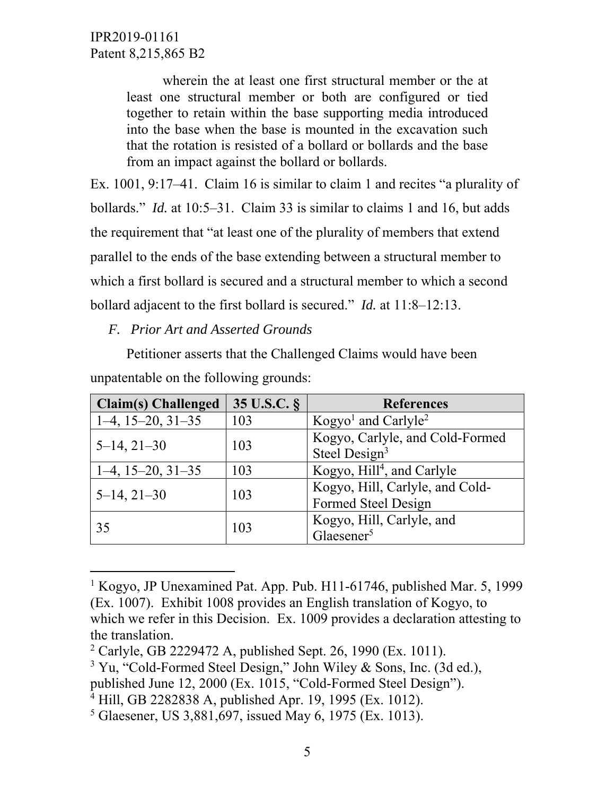$\overline{a}$ 

wherein the at least one first structural member or the at least one structural member or both are configured or tied together to retain within the base supporting media introduced into the base when the base is mounted in the excavation such that the rotation is resisted of a bollard or bollards and the base from an impact against the bollard or bollards.

Ex. 1001, 9:17–41. Claim 16 is similar to claim 1 and recites "a plurality of bollards." *Id.* at 10:5–31. Claim 33 is similar to claims 1 and 16, but adds the requirement that "at least one of the plurality of members that extend parallel to the ends of the base extending between a structural member to which a first bollard is secured and a structural member to which a second bollard adjacent to the first bollard is secured." *Id.* at 11:8–12:13.

*F. Prior Art and Asserted Grounds* 

Petitioner asserts that the Challenged Claims would have been unpatentable on the following grounds:

| <b>Claim(s)</b> Challenged | 35 U.S.C. § | <b>References</b>                           |
|----------------------------|-------------|---------------------------------------------|
| $1-4, 15-20, 31-35$        | 103         | Kogyo <sup>1</sup> and Carlyle <sup>2</sup> |
| $5-14, 21-30$              | 103         | Kogyo, Carlyle, and Cold-Formed             |
|                            |             | Steel Design <sup>3</sup>                   |
| $1-4, 15-20, 31-35$        | 103         | Kogyo, Hill <sup>4</sup> , and Carlyle      |
| $5-14, 21-30$              | 103         | Kogyo, Hill, Carlyle, and Cold-             |
|                            |             | Formed Steel Design                         |
| 35                         | 103         | Kogyo, Hill, Carlyle, and                   |
|                            |             | Glaesener <sup>5</sup>                      |

<sup>&</sup>lt;sup>1</sup> Kogyo, JP Unexamined Pat. App. Pub. H11-61746, published Mar. 5, 1999 (Ex. 1007). Exhibit 1008 provides an English translation of Kogyo, to which we refer in this Decision. Ex. 1009 provides a declaration attesting to the translation.

<sup>&</sup>lt;sup>2</sup> Carlyle, GB 2229472 A, published Sept. 26, 1990 (Ex. 1011).

<sup>&</sup>lt;sup>3</sup> Yu, "Cold-Formed Steel Design," John Wiley & Sons, Inc. (3d ed.),

published June 12, 2000 (Ex. 1015, "Cold-Formed Steel Design").

<sup>4</sup> Hill, GB 2282838 A, published Apr. 19, 1995 (Ex. 1012).

<sup>5</sup> Glaesener, US 3,881,697, issued May 6, 1975 (Ex. 1013).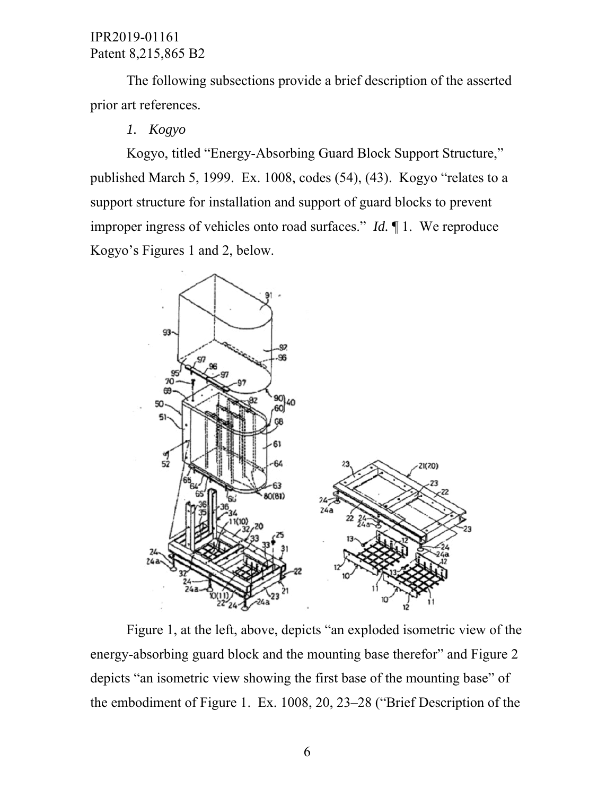The following subsections provide a brief description of the asserted prior art references.

# *1. Kogyo*

Kogyo, titled "Energy-Absorbing Guard Block Support Structure," published March 5, 1999. Ex. 1008, codes (54), (43). Kogyo "relates to a support structure for installation and support of guard blocks to prevent improper ingress of vehicles onto road surfaces." *Id.* ¶ 1. We reproduce Kogyo's Figures 1 and 2, below.



Figure 1, at the left, above, depicts "an exploded isometric view of the energy-absorbing guard block and the mounting base therefor" and Figure 2 depicts "an isometric view showing the first base of the mounting base" of the embodiment of Figure 1. Ex. 1008, 20, 23–28 ("Brief Description of the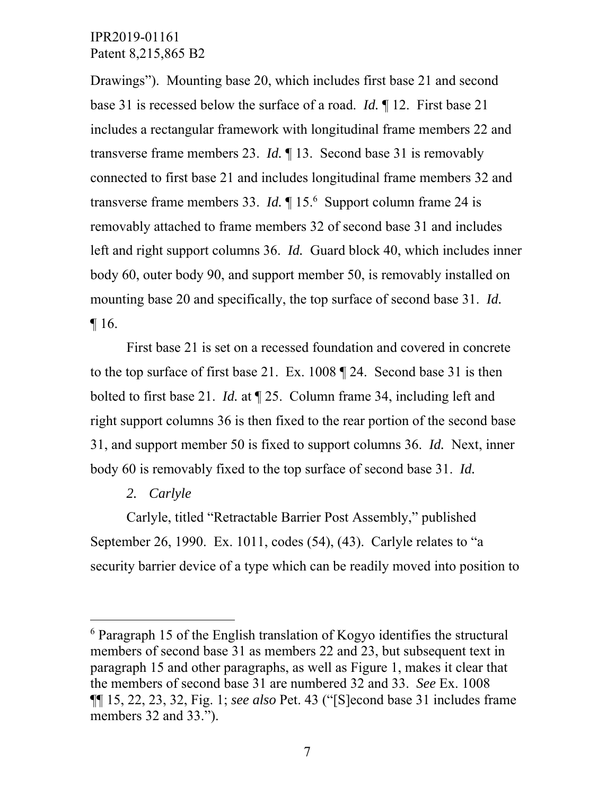Drawings"). Mounting base 20, which includes first base 21 and second base 31 is recessed below the surface of a road. *Id.* ¶ 12. First base 21 includes a rectangular framework with longitudinal frame members 22 and transverse frame members 23. *Id.* ¶ 13. Second base 31 is removably connected to first base 21 and includes longitudinal frame members 32 and transverse frame members 33. *Id.* ¶ 15.6 Support column frame 24 is removably attached to frame members 32 of second base 31 and includes left and right support columns 36. *Id.* Guard block 40, which includes inner body 60, outer body 90, and support member 50, is removably installed on mounting base 20 and specifically, the top surface of second base 31. *Id.* ¶ 16.

First base 21 is set on a recessed foundation and covered in concrete to the top surface of first base 21. Ex. 1008 ¶ 24. Second base 31 is then bolted to first base 21. *Id.* at ¶ 25. Column frame 34, including left and right support columns 36 is then fixed to the rear portion of the second base 31, and support member 50 is fixed to support columns 36. *Id.* Next, inner body 60 is removably fixed to the top surface of second base 31. *Id.*

#### *2. Carlyle*

 $\overline{a}$ 

Carlyle, titled "Retractable Barrier Post Assembly," published September 26, 1990. Ex. 1011, codes (54), (43). Carlyle relates to "a security barrier device of a type which can be readily moved into position to

<sup>6</sup> Paragraph 15 of the English translation of Kogyo identifies the structural members of second base 31 as members 22 and 23, but subsequent text in paragraph 15 and other paragraphs, as well as Figure 1, makes it clear that the members of second base 31 are numbered 32 and 33. *See* Ex. 1008 ¶¶ 15, 22, 23, 32, Fig. 1; *see also* Pet. 43 ("[S]econd base 31 includes frame members 32 and 33.").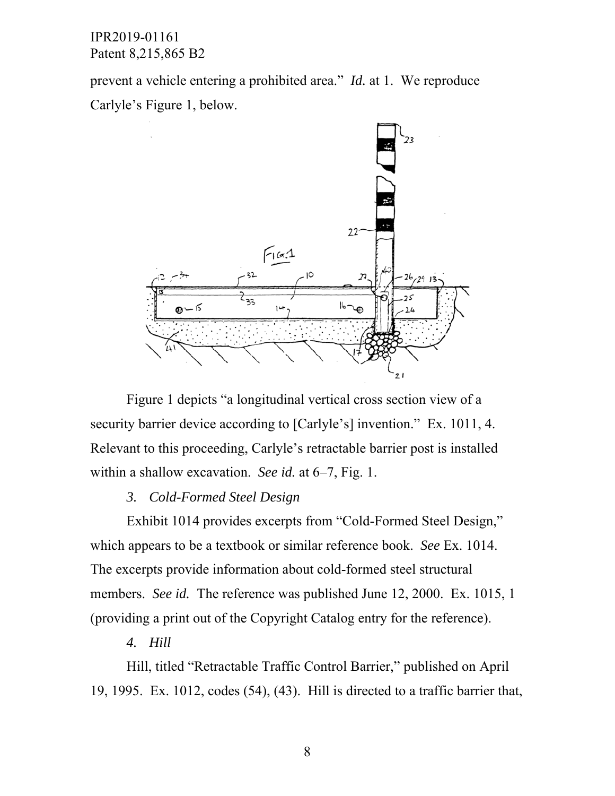prevent a vehicle entering a prohibited area." *Id.* at 1. We reproduce Carlyle's Figure 1, below.



Figure 1 depicts "a longitudinal vertical cross section view of a security barrier device according to [Carlyle's] invention." Ex. 1011, 4. Relevant to this proceeding, Carlyle's retractable barrier post is installed within a shallow excavation. *See id.* at 6–7, Fig. 1.

#### *3. Cold-Formed Steel Design*

Exhibit 1014 provides excerpts from "Cold-Formed Steel Design," which appears to be a textbook or similar reference book. *See* Ex. 1014. The excerpts provide information about cold-formed steel structural members. *See id.* The reference was published June 12, 2000. Ex. 1015, 1 (providing a print out of the Copyright Catalog entry for the reference).

### *4. Hill*

Hill, titled "Retractable Traffic Control Barrier," published on April 19, 1995. Ex. 1012, codes (54), (43). Hill is directed to a traffic barrier that,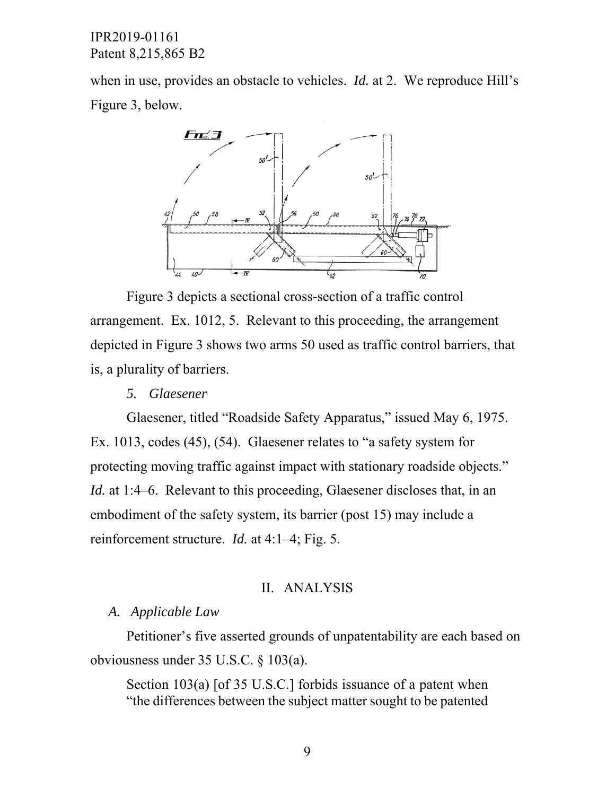when in use, provides an obstacle to vehicles. *Id.* at 2. We reproduce Hill's Figure 3, below.



Figure 3 depicts a sectional cross-section of a traffic control arrangement. Ex. 1012, 5. Relevant to this proceeding, the arrangement depicted in Figure 3 shows two arms 50 used as traffic control barriers, that is, a plurality of barriers.

#### *5. Glaesener*

Glaesener, titled "Roadside Safety Apparatus," issued May 6, 1975. Ex. 1013, codes (45), (54). Glaesener relates to "a safety system for protecting moving traffic against impact with stationary roadside objects." *Id.* at 1:4–6. Relevant to this proceeding, Glaesener discloses that, in an embodiment of the safety system, its barrier (post 15) may include a reinforcement structure. *Id.* at 4:1–4; Fig. 5.

#### II. ANALYSIS

#### *A. Applicable Law*

Petitioner's five asserted grounds of unpatentability are each based on obviousness under 35 U.S.C. § 103(a).

Section 103(a) [of 35 U.S.C.] forbids issuance of a patent when "the differences between the subject matter sought to be patented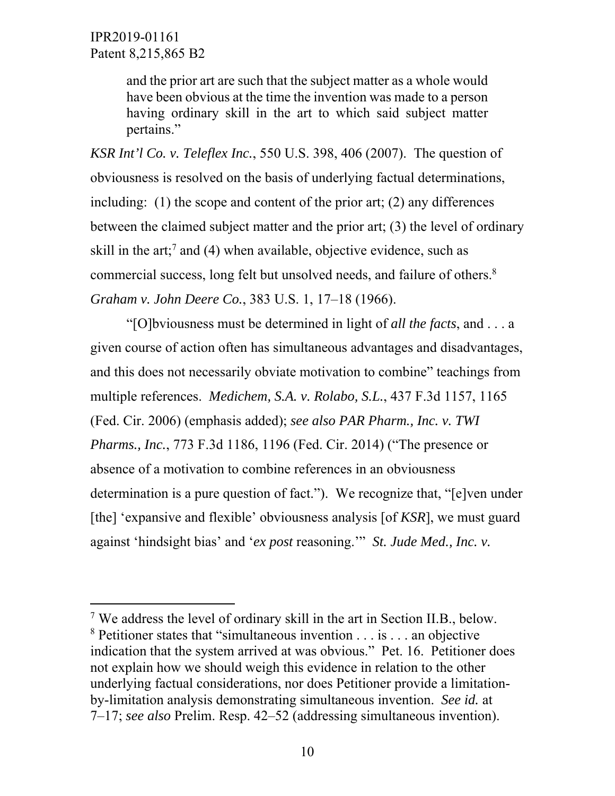$\overline{a}$ 

and the prior art are such that the subject matter as a whole would have been obvious at the time the invention was made to a person having ordinary skill in the art to which said subject matter pertains."

*KSR Int'l Co. v. Teleflex Inc.*, 550 U.S. 398, 406 (2007). The question of obviousness is resolved on the basis of underlying factual determinations, including: (1) the scope and content of the prior art; (2) any differences between the claimed subject matter and the prior art; (3) the level of ordinary skill in the art;<sup>7</sup> and (4) when available, objective evidence, such as commercial success, long felt but unsolved needs, and failure of others.<sup>8</sup> *Graham v. John Deere Co.*, 383 U.S. 1, 17–18 (1966).

"[O]bviousness must be determined in light of *all the facts*, and . . . a given course of action often has simultaneous advantages and disadvantages, and this does not necessarily obviate motivation to combine" teachings from multiple references. *Medichem, S.A. v. Rolabo, S.L.*, 437 F.3d 1157, 1165 (Fed. Cir. 2006) (emphasis added); *see also PAR Pharm., Inc. v. TWI Pharms., Inc.*, 773 F.3d 1186, 1196 (Fed. Cir. 2014) ("The presence or absence of a motivation to combine references in an obviousness determination is a pure question of fact."). We recognize that, "[e]ven under [the] 'expansive and flexible' obviousness analysis [of *KSR*], we must guard against 'hindsight bias' and '*ex post* reasoning.'" *St. Jude Med., Inc. v.* 

<sup>&</sup>lt;sup>7</sup> We address the level of ordinary skill in the art in Section II.B., below. <sup>8</sup> Petitioner states that "simultaneous invention . . . is . . . an objective indication that the system arrived at was obvious." Pet. 16. Petitioner does not explain how we should weigh this evidence in relation to the other underlying factual considerations, nor does Petitioner provide a limitationby-limitation analysis demonstrating simultaneous invention. *See id.* at 7–17; *see also* Prelim. Resp. 42–52 (addressing simultaneous invention).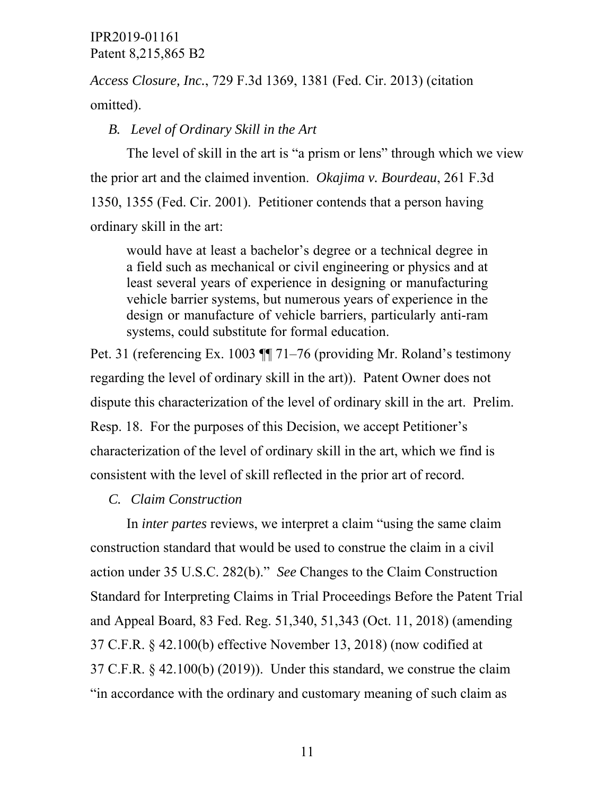*Access Closure, Inc.*, 729 F.3d 1369, 1381 (Fed. Cir. 2013) (citation omitted).

*B. Level of Ordinary Skill in the Art* 

The level of skill in the art is "a prism or lens" through which we view the prior art and the claimed invention. *Okajima v. Bourdeau*, 261 F.3d 1350, 1355 (Fed. Cir. 2001). Petitioner contends that a person having ordinary skill in the art:

would have at least a bachelor's degree or a technical degree in a field such as mechanical or civil engineering or physics and at least several years of experience in designing or manufacturing vehicle barrier systems, but numerous years of experience in the design or manufacture of vehicle barriers, particularly anti-ram systems, could substitute for formal education.

Pet. 31 (referencing Ex. 1003 ¶¶ 71–76 (providing Mr. Roland's testimony regarding the level of ordinary skill in the art)). Patent Owner does not dispute this characterization of the level of ordinary skill in the art. Prelim. Resp. 18. For the purposes of this Decision, we accept Petitioner's characterization of the level of ordinary skill in the art, which we find is consistent with the level of skill reflected in the prior art of record.

*C. Claim Construction* 

In *inter partes* reviews, we interpret a claim "using the same claim construction standard that would be used to construe the claim in a civil action under 35 U.S.C. 282(b)." *See* Changes to the Claim Construction Standard for Interpreting Claims in Trial Proceedings Before the Patent Trial and Appeal Board, 83 Fed. Reg. 51,340, 51,343 (Oct. 11, 2018) (amending 37 C.F.R. § 42.100(b) effective November 13, 2018) (now codified at 37 C.F.R.  $\&$  42.100(b) (2019)). Under this standard, we construe the claim "in accordance with the ordinary and customary meaning of such claim as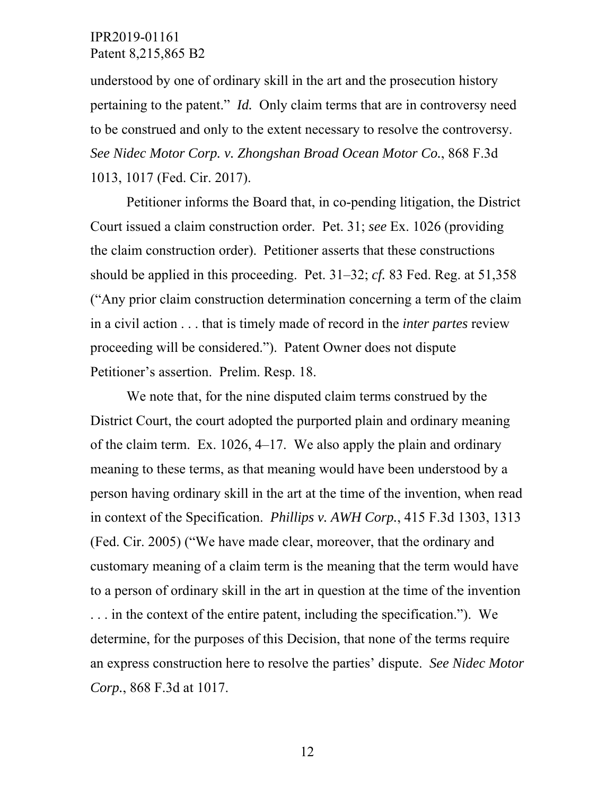understood by one of ordinary skill in the art and the prosecution history pertaining to the patent." *Id.* Only claim terms that are in controversy need to be construed and only to the extent necessary to resolve the controversy. *See Nidec Motor Corp. v. Zhongshan Broad Ocean Motor Co.*, 868 F.3d 1013, 1017 (Fed. Cir. 2017).

Petitioner informs the Board that, in co-pending litigation, the District Court issued a claim construction order. Pet. 31; *see* Ex. 1026 (providing the claim construction order). Petitioner asserts that these constructions should be applied in this proceeding. Pet. 31–32; *cf.* 83 Fed. Reg. at 51,358 ("Any prior claim construction determination concerning a term of the claim in a civil action . . . that is timely made of record in the *inter partes* review proceeding will be considered."). Patent Owner does not dispute Petitioner's assertion. Prelim. Resp. 18.

We note that, for the nine disputed claim terms construed by the District Court, the court adopted the purported plain and ordinary meaning of the claim term. Ex. 1026, 4–17. We also apply the plain and ordinary meaning to these terms, as that meaning would have been understood by a person having ordinary skill in the art at the time of the invention, when read in context of the Specification. *Phillips v. AWH Corp.*, 415 F.3d 1303, 1313 (Fed. Cir. 2005) ("We have made clear, moreover, that the ordinary and customary meaning of a claim term is the meaning that the term would have to a person of ordinary skill in the art in question at the time of the invention . . . in the context of the entire patent, including the specification."). We determine, for the purposes of this Decision, that none of the terms require an express construction here to resolve the parties' dispute. *See Nidec Motor Corp.*, 868 F.3d at 1017.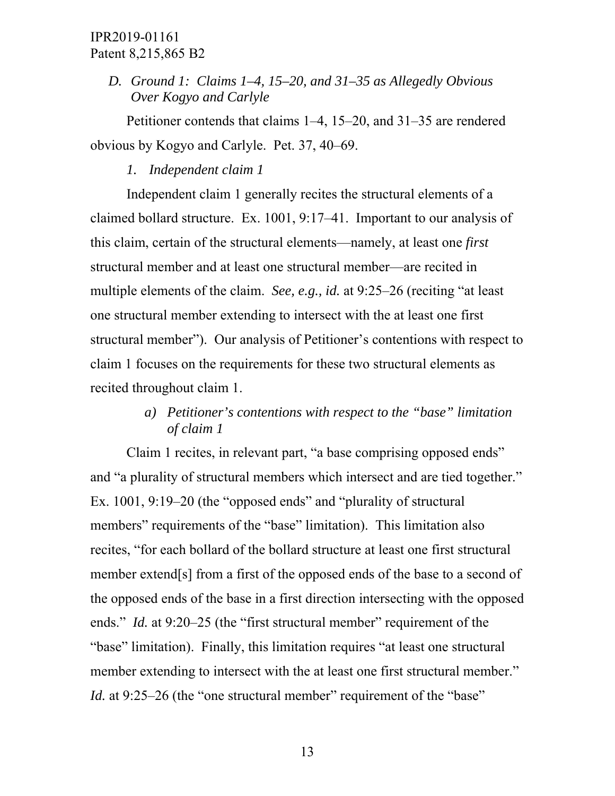*D. Ground 1: Claims 1–4, 15–20, and 31–35 as Allegedly Obvious Over Kogyo and Carlyle* 

Petitioner contends that claims 1–4, 15–20, and 31–35 are rendered obvious by Kogyo and Carlyle. Pet. 37, 40–69.

## *1. Independent claim 1*

Independent claim 1 generally recites the structural elements of a claimed bollard structure. Ex. 1001, 9:17–41. Important to our analysis of this claim, certain of the structural elements—namely, at least one *first* structural member and at least one structural member—are recited in multiple elements of the claim. *See, e.g., id.* at 9:25–26 (reciting "at least one structural member extending to intersect with the at least one first structural member"). Our analysis of Petitioner's contentions with respect to claim 1 focuses on the requirements for these two structural elements as recited throughout claim 1.

# *a) Petitioner's contentions with respect to the "base" limitation of claim 1*

Claim 1 recites, in relevant part, "a base comprising opposed ends" and "a plurality of structural members which intersect and are tied together." Ex. 1001, 9:19–20 (the "opposed ends" and "plurality of structural members" requirements of the "base" limitation). This limitation also recites, "for each bollard of the bollard structure at least one first structural member extend[s] from a first of the opposed ends of the base to a second of the opposed ends of the base in a first direction intersecting with the opposed ends." *Id.* at 9:20–25 (the "first structural member" requirement of the "base" limitation). Finally, this limitation requires "at least one structural member extending to intersect with the at least one first structural member." *Id.* at 9:25–26 (the "one structural member" requirement of the "base"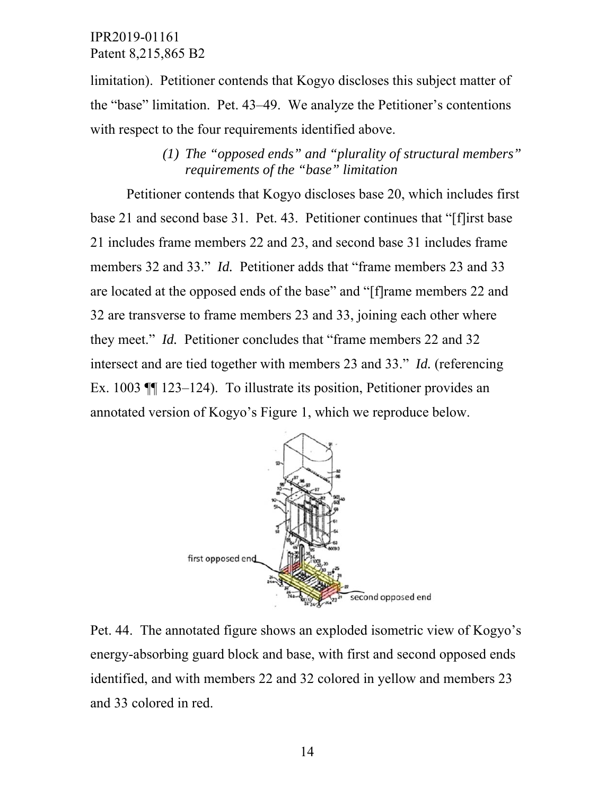limitation). Petitioner contends that Kogyo discloses this subject matter of the "base" limitation. Pet. 43–49. We analyze the Petitioner's contentions with respect to the four requirements identified above.

> *(1) The "opposed ends" and "plurality of structural members" requirements of the "base" limitation*

Petitioner contends that Kogyo discloses base 20, which includes first base 21 and second base 31. Pet. 43. Petitioner continues that "[f]irst base 21 includes frame members 22 and 23, and second base 31 includes frame members 32 and 33." *Id.* Petitioner adds that "frame members 23 and 33 are located at the opposed ends of the base" and "[f]rame members 22 and 32 are transverse to frame members 23 and 33, joining each other where they meet." *Id.* Petitioner concludes that "frame members 22 and 32 intersect and are tied together with members 23 and 33." *Id.* (referencing Ex. 1003 ¶¶ 123–124). To illustrate its position, Petitioner provides an annotated version of Kogyo's Figure 1, which we reproduce below.



Pet. 44. The annotated figure shows an exploded isometric view of Kogyo's energy-absorbing guard block and base, with first and second opposed ends identified, and with members 22 and 32 colored in yellow and members 23 and 33 colored in red.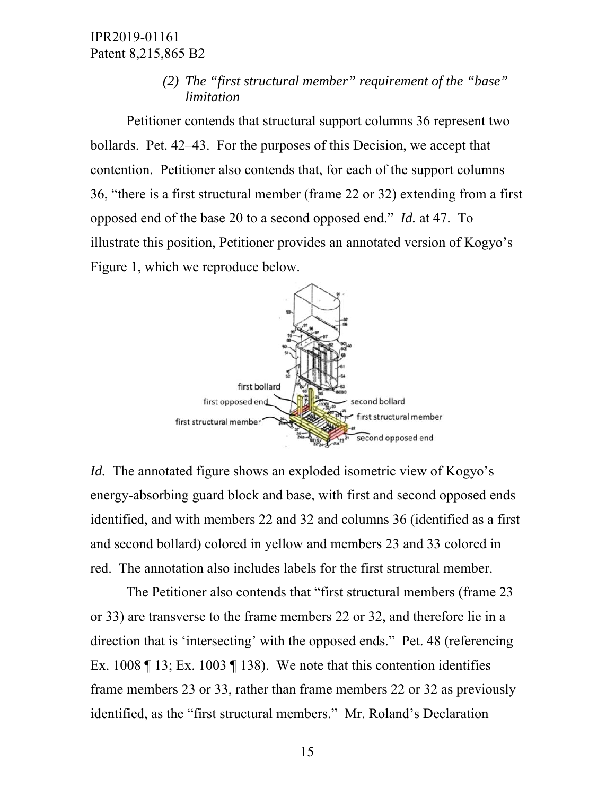*(2) The "first structural member" requirement of the "base" limitation* 

Petitioner contends that structural support columns 36 represent two bollards. Pet. 42–43. For the purposes of this Decision, we accept that contention. Petitioner also contends that, for each of the support columns 36, "there is a first structural member (frame 22 or 32) extending from a first opposed end of the base 20 to a second opposed end." *Id.* at 47. To illustrate this position, Petitioner provides an annotated version of Kogyo's Figure 1, which we reproduce below.



*Id.* The annotated figure shows an exploded isometric view of Kogyo's energy-absorbing guard block and base, with first and second opposed ends identified, and with members 22 and 32 and columns 36 (identified as a first and second bollard) colored in yellow and members 23 and 33 colored in red. The annotation also includes labels for the first structural member.

The Petitioner also contends that "first structural members (frame 23 or 33) are transverse to the frame members 22 or 32, and therefore lie in a direction that is 'intersecting' with the opposed ends." Pet. 48 (referencing Ex. 1008  $\P$  13; Ex. 1003  $\P$  138). We note that this contention identifies frame members 23 or 33, rather than frame members 22 or 32 as previously identified, as the "first structural members." Mr. Roland's Declaration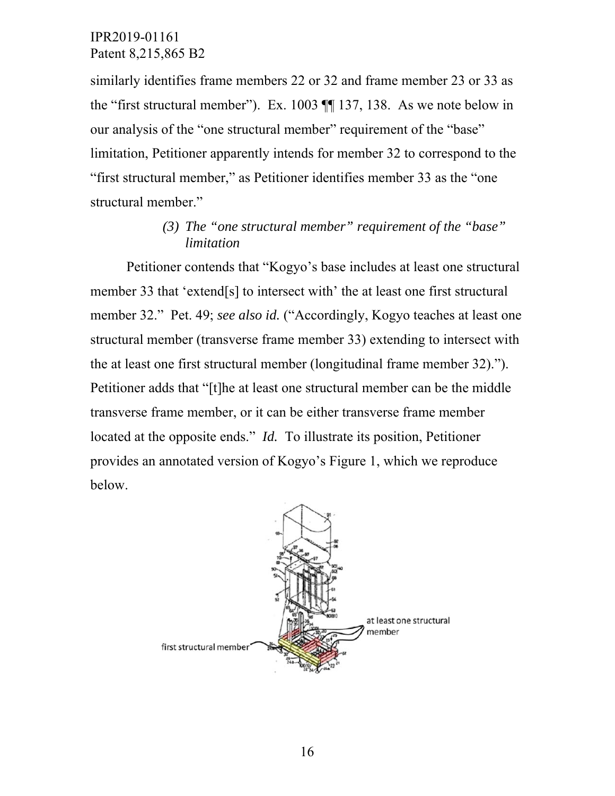similarly identifies frame members 22 or 32 and frame member 23 or 33 as the "first structural member"). Ex. 1003 ¶¶ 137, 138. As we note below in our analysis of the "one structural member" requirement of the "base" limitation, Petitioner apparently intends for member 32 to correspond to the "first structural member," as Petitioner identifies member 33 as the "one structural member."

# *(3) The "one structural member" requirement of the "base" limitation*

Petitioner contends that "Kogyo's base includes at least one structural member 33 that 'extend[s] to intersect with' the at least one first structural member 32." Pet. 49; *see also id.* ("Accordingly, Kogyo teaches at least one structural member (transverse frame member 33) extending to intersect with the at least one first structural member (longitudinal frame member 32)."). Petitioner adds that "[t]he at least one structural member can be the middle transverse frame member, or it can be either transverse frame member located at the opposite ends." *Id.* To illustrate its position, Petitioner provides an annotated version of Kogyo's Figure 1, which we reproduce below.

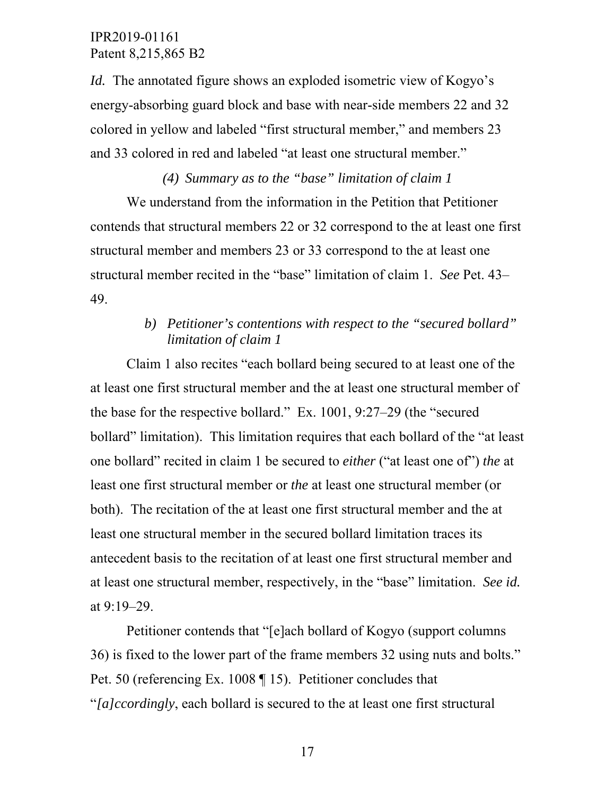*Id.* The annotated figure shows an exploded isometric view of Kogyo's energy-absorbing guard block and base with near-side members 22 and 32 colored in yellow and labeled "first structural member," and members 23 and 33 colored in red and labeled "at least one structural member."

*(4) Summary as to the "base" limitation of claim 1*  We understand from the information in the Petition that Petitioner contends that structural members 22 or 32 correspond to the at least one first structural member and members 23 or 33 correspond to the at least one structural member recited in the "base" limitation of claim 1. *See* Pet. 43– 49.

# *b) Petitioner's contentions with respect to the "secured bollard" limitation of claim 1*

Claim 1 also recites "each bollard being secured to at least one of the at least one first structural member and the at least one structural member of the base for the respective bollard." Ex. 1001, 9:27–29 (the "secured bollard" limitation). This limitation requires that each bollard of the "at least one bollard" recited in claim 1 be secured to *either* ("at least one of") *the* at least one first structural member or *the* at least one structural member (or both). The recitation of the at least one first structural member and the at least one structural member in the secured bollard limitation traces its antecedent basis to the recitation of at least one first structural member and at least one structural member, respectively, in the "base" limitation. *See id.* at 9:19–29.

Petitioner contends that "[e]ach bollard of Kogyo (support columns 36) is fixed to the lower part of the frame members 32 using nuts and bolts." Pet. 50 (referencing Ex. 1008 ¶ 15). Petitioner concludes that "*[a]ccordingly*, each bollard is secured to the at least one first structural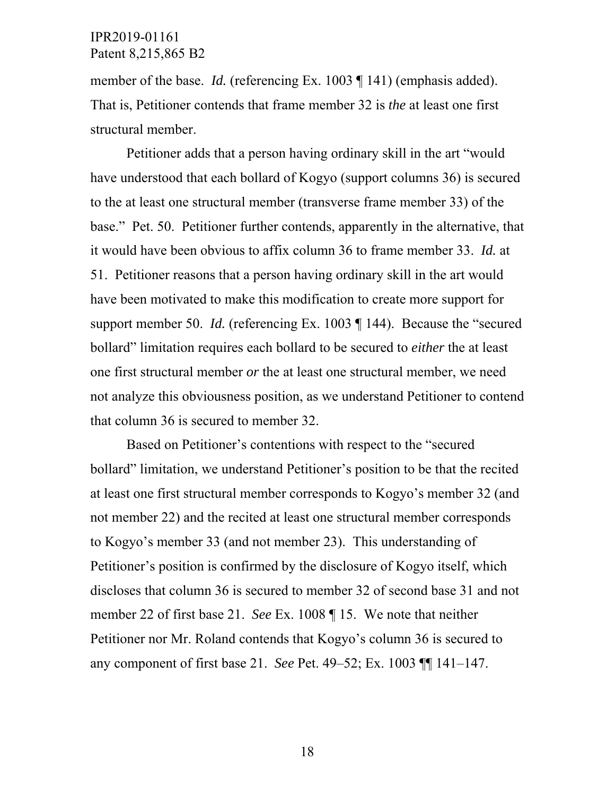member of the base. *Id.* (referencing Ex. 1003 ¶ 141) (emphasis added). That is, Petitioner contends that frame member 32 is *the* at least one first structural member.

Petitioner adds that a person having ordinary skill in the art "would have understood that each bollard of Kogyo (support columns 36) is secured to the at least one structural member (transverse frame member 33) of the base." Pet. 50. Petitioner further contends, apparently in the alternative, that it would have been obvious to affix column 36 to frame member 33. *Id.* at 51. Petitioner reasons that a person having ordinary skill in the art would have been motivated to make this modification to create more support for support member 50. *Id.* (referencing Ex. 1003 ¶ 144). Because the "secured bollard" limitation requires each bollard to be secured to *either* the at least one first structural member *or* the at least one structural member, we need not analyze this obviousness position, as we understand Petitioner to contend that column 36 is secured to member 32.

Based on Petitioner's contentions with respect to the "secured bollard" limitation, we understand Petitioner's position to be that the recited at least one first structural member corresponds to Kogyo's member 32 (and not member 22) and the recited at least one structural member corresponds to Kogyo's member 33 (and not member 23). This understanding of Petitioner's position is confirmed by the disclosure of Kogyo itself, which discloses that column 36 is secured to member 32 of second base 31 and not member 22 of first base 21. *See* Ex. 1008 ¶ 15. We note that neither Petitioner nor Mr. Roland contends that Kogyo's column 36 is secured to any component of first base 21. *See* Pet. 49–52; Ex. 1003 ¶¶ 141–147.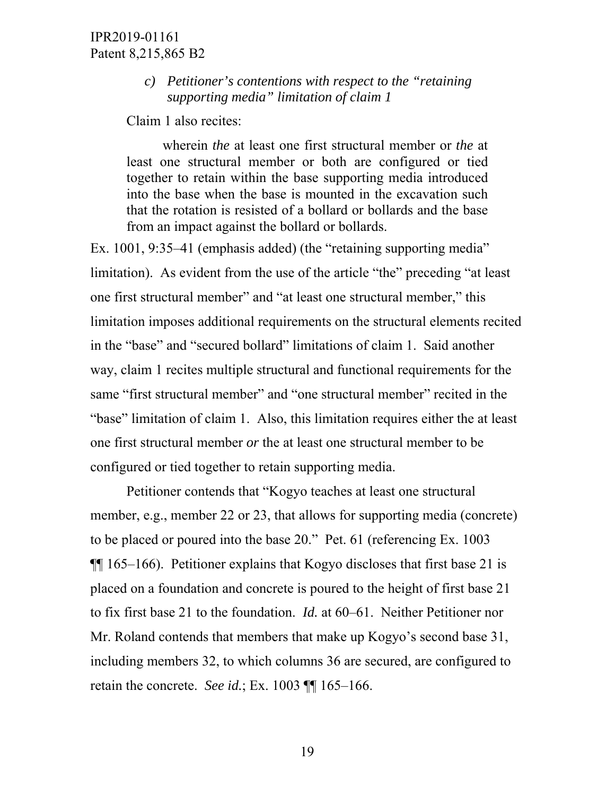### *c) Petitioner's contentions with respect to the "retaining supporting media" limitation of claim 1*

Claim 1 also recites:

wherein *the* at least one first structural member or *the* at least one structural member or both are configured or tied together to retain within the base supporting media introduced into the base when the base is mounted in the excavation such that the rotation is resisted of a bollard or bollards and the base from an impact against the bollard or bollards.

Ex. 1001, 9:35–41 (emphasis added) (the "retaining supporting media" limitation). As evident from the use of the article "the" preceding "at least one first structural member" and "at least one structural member," this limitation imposes additional requirements on the structural elements recited in the "base" and "secured bollard" limitations of claim 1. Said another way, claim 1 recites multiple structural and functional requirements for the same "first structural member" and "one structural member" recited in the "base" limitation of claim 1. Also, this limitation requires either the at least one first structural member *or* the at least one structural member to be configured or tied together to retain supporting media.

Petitioner contends that "Kogyo teaches at least one structural member, e.g., member 22 or 23, that allows for supporting media (concrete) to be placed or poured into the base 20." Pet. 61 (referencing Ex. 1003 ¶¶ 165–166). Petitioner explains that Kogyo discloses that first base 21 is placed on a foundation and concrete is poured to the height of first base 21 to fix first base 21 to the foundation. *Id.* at 60–61. Neither Petitioner nor Mr. Roland contends that members that make up Kogyo's second base 31, including members 32, to which columns 36 are secured, are configured to retain the concrete. *See id.*; Ex. 1003 ¶¶ 165–166.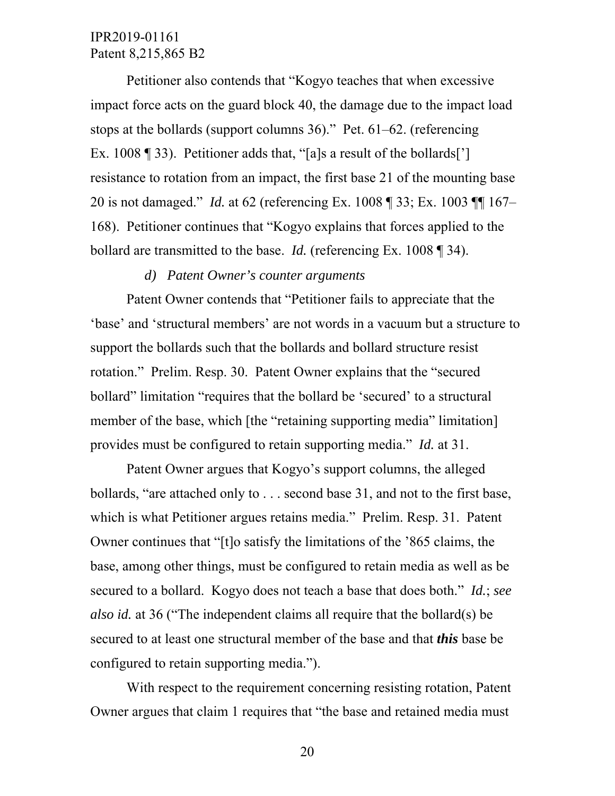Petitioner also contends that "Kogyo teaches that when excessive impact force acts on the guard block 40, the damage due to the impact load stops at the bollards (support columns 36)." Pet. 61–62. (referencing Ex. 1008 ¶ 33). Petitioner adds that, "[a]s a result of the bollards['] resistance to rotation from an impact, the first base 21 of the mounting base 20 is not damaged." *Id.* at 62 (referencing Ex. 1008 ¶ 33; Ex. 1003 ¶¶ 167– 168). Petitioner continues that "Kogyo explains that forces applied to the bollard are transmitted to the base. *Id.* (referencing Ex. 1008 ¶ 34).

#### *d) Patent Owner's counter arguments*

Patent Owner contends that "Petitioner fails to appreciate that the 'base' and 'structural members' are not words in a vacuum but a structure to support the bollards such that the bollards and bollard structure resist rotation." Prelim. Resp. 30. Patent Owner explains that the "secured bollard" limitation "requires that the bollard be 'secured' to a structural member of the base, which [the "retaining supporting media" limitation] provides must be configured to retain supporting media." *Id.* at 31.

Patent Owner argues that Kogyo's support columns, the alleged bollards, "are attached only to . . . second base 31, and not to the first base, which is what Petitioner argues retains media." Prelim. Resp. 31. Patent Owner continues that "[t]o satisfy the limitations of the '865 claims, the base, among other things, must be configured to retain media as well as be secured to a bollard. Kogyo does not teach a base that does both." *Id.*; *see also id.* at 36 ("The independent claims all require that the bollard(s) be secured to at least one structural member of the base and that *this* base be configured to retain supporting media.").

With respect to the requirement concerning resisting rotation, Patent Owner argues that claim 1 requires that "the base and retained media must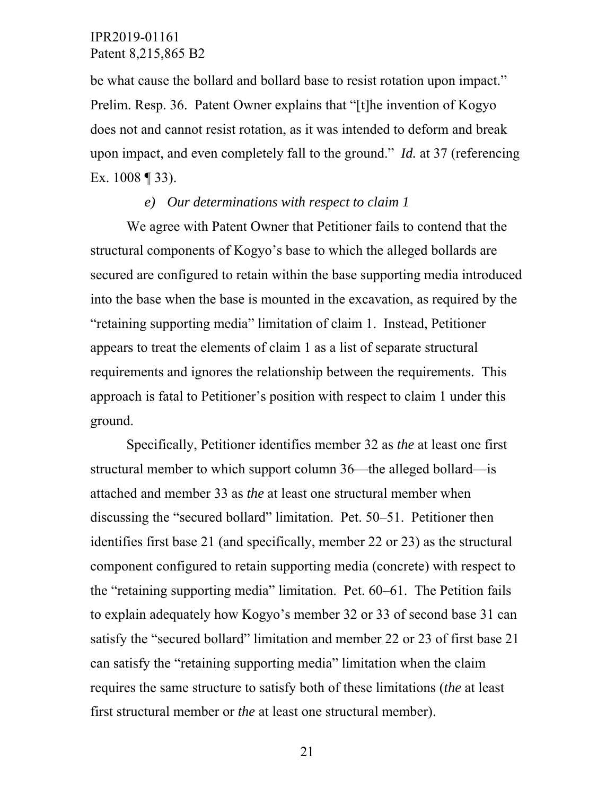be what cause the bollard and bollard base to resist rotation upon impact." Prelim. Resp. 36. Patent Owner explains that "[t]he invention of Kogyo does not and cannot resist rotation, as it was intended to deform and break upon impact, and even completely fall to the ground." *Id.* at 37 (referencing Ex. 1008 ¶ 33).

#### *e) Our determinations with respect to claim 1*

We agree with Patent Owner that Petitioner fails to contend that the structural components of Kogyo's base to which the alleged bollards are secured are configured to retain within the base supporting media introduced into the base when the base is mounted in the excavation, as required by the "retaining supporting media" limitation of claim 1. Instead, Petitioner appears to treat the elements of claim 1 as a list of separate structural requirements and ignores the relationship between the requirements. This approach is fatal to Petitioner's position with respect to claim 1 under this ground.

Specifically, Petitioner identifies member 32 as *the* at least one first structural member to which support column 36—the alleged bollard—is attached and member 33 as *the* at least one structural member when discussing the "secured bollard" limitation. Pet. 50–51. Petitioner then identifies first base 21 (and specifically, member 22 or 23) as the structural component configured to retain supporting media (concrete) with respect to the "retaining supporting media" limitation. Pet. 60–61. The Petition fails to explain adequately how Kogyo's member 32 or 33 of second base 31 can satisfy the "secured bollard" limitation and member 22 or 23 of first base 21 can satisfy the "retaining supporting media" limitation when the claim requires the same structure to satisfy both of these limitations (*the* at least first structural member or *the* at least one structural member).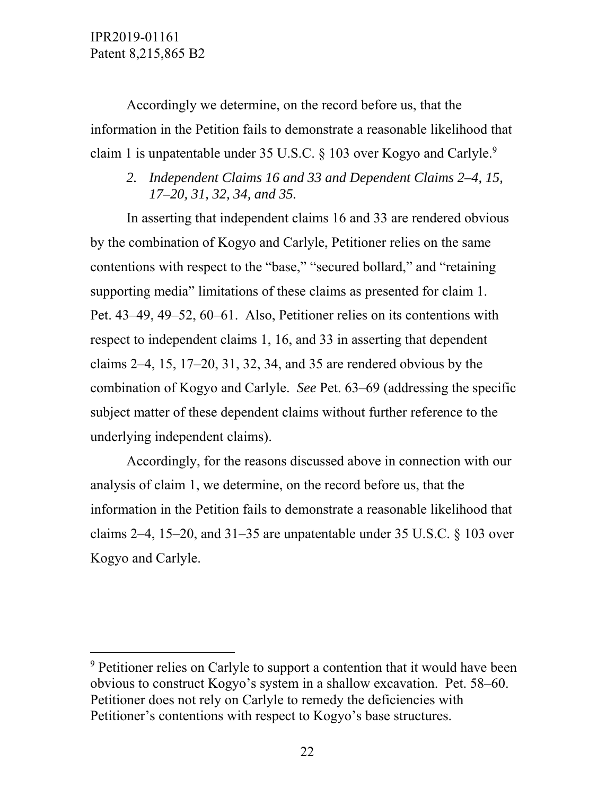$\overline{a}$ 

Accordingly we determine, on the record before us, that the information in the Petition fails to demonstrate a reasonable likelihood that claim 1 is unpatentable under 35 U.S.C. § 103 over Kogyo and Carlyle.<sup>9</sup>

*2. Independent Claims 16 and 33 and Dependent Claims 2–4, 15, 17–20, 31, 32, 34, and 35.* 

In asserting that independent claims 16 and 33 are rendered obvious by the combination of Kogyo and Carlyle, Petitioner relies on the same contentions with respect to the "base," "secured bollard," and "retaining supporting media" limitations of these claims as presented for claim 1. Pet. 43–49, 49–52, 60–61. Also, Petitioner relies on its contentions with respect to independent claims 1, 16, and 33 in asserting that dependent claims 2–4, 15, 17–20, 31, 32, 34, and 35 are rendered obvious by the combination of Kogyo and Carlyle. *See* Pet. 63–69 (addressing the specific subject matter of these dependent claims without further reference to the underlying independent claims).

Accordingly, for the reasons discussed above in connection with our analysis of claim 1, we determine, on the record before us, that the information in the Petition fails to demonstrate a reasonable likelihood that claims 2–4, 15–20, and 31–35 are unpatentable under 35 U.S.C. § 103 over Kogyo and Carlyle.

 $9$  Petitioner relies on Carlyle to support a contention that it would have been obvious to construct Kogyo's system in a shallow excavation. Pet. 58–60. Petitioner does not rely on Carlyle to remedy the deficiencies with Petitioner's contentions with respect to Kogyo's base structures.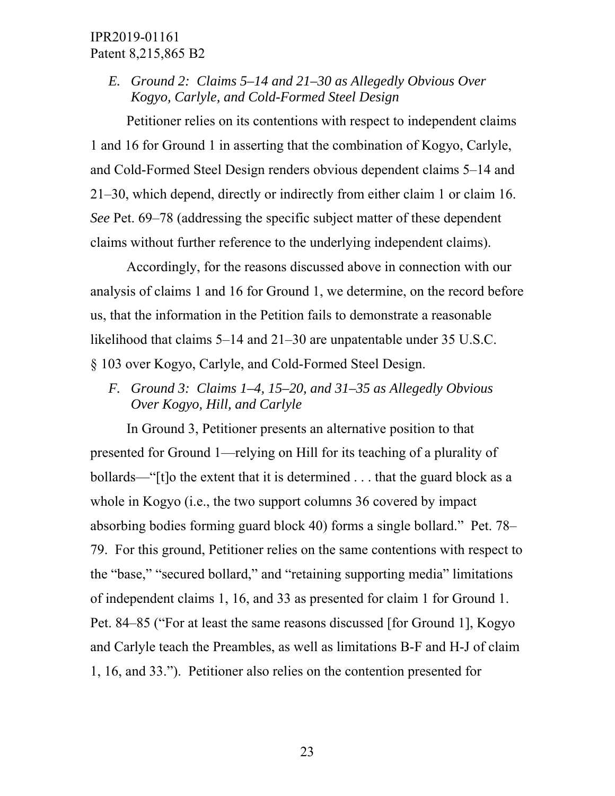*E. Ground 2: Claims 5–14 and 21–30 as Allegedly Obvious Over Kogyo, Carlyle, and Cold-Formed Steel Design* 

Petitioner relies on its contentions with respect to independent claims 1 and 16 for Ground 1 in asserting that the combination of Kogyo, Carlyle, and Cold-Formed Steel Design renders obvious dependent claims 5–14 and 21–30, which depend, directly or indirectly from either claim 1 or claim 16. *See* Pet. 69–78 (addressing the specific subject matter of these dependent claims without further reference to the underlying independent claims).

Accordingly, for the reasons discussed above in connection with our analysis of claims 1 and 16 for Ground 1, we determine, on the record before us, that the information in the Petition fails to demonstrate a reasonable likelihood that claims 5–14 and 21–30 are unpatentable under 35 U.S.C. § 103 over Kogyo, Carlyle, and Cold-Formed Steel Design.

*F. Ground 3: Claims 1–4, 15–20, and 31–35 as Allegedly Obvious Over Kogyo, Hill, and Carlyle* 

In Ground 3, Petitioner presents an alternative position to that presented for Ground 1—relying on Hill for its teaching of a plurality of bollards—"[t]o the extent that it is determined . . . that the guard block as a whole in Kogyo (i.e., the two support columns 36 covered by impact absorbing bodies forming guard block 40) forms a single bollard." Pet. 78– 79. For this ground, Petitioner relies on the same contentions with respect to the "base," "secured bollard," and "retaining supporting media" limitations of independent claims 1, 16, and 33 as presented for claim 1 for Ground 1. Pet. 84–85 ("For at least the same reasons discussed [for Ground 1], Kogyo and Carlyle teach the Preambles, as well as limitations B-F and H-J of claim 1, 16, and 33."). Petitioner also relies on the contention presented for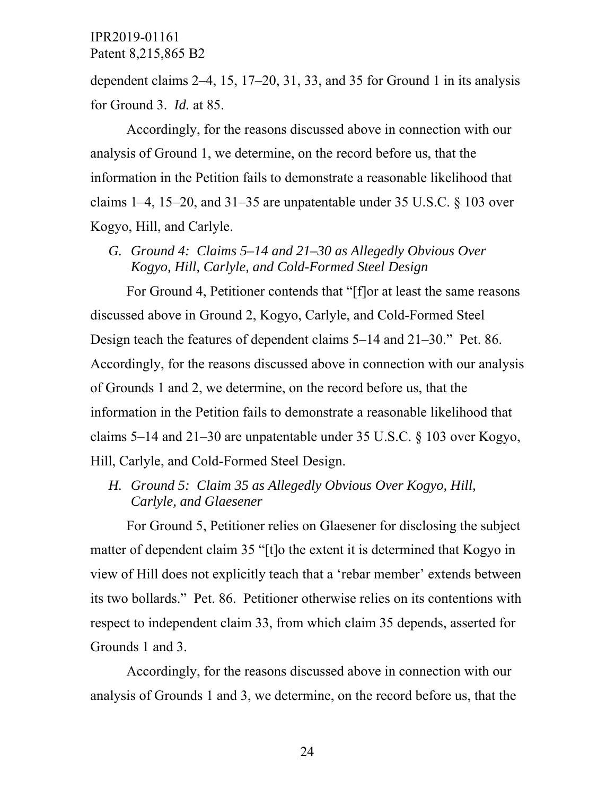dependent claims 2–4, 15, 17–20, 31, 33, and 35 for Ground 1 in its analysis for Ground 3. *Id.* at 85.

Accordingly, for the reasons discussed above in connection with our analysis of Ground 1, we determine, on the record before us, that the information in the Petition fails to demonstrate a reasonable likelihood that claims  $1-4$ ,  $15-20$ , and  $31-35$  are unpatentable under 35 U.S.C.  $\frac{6}{9}$  103 over Kogyo, Hill, and Carlyle.

*G. Ground 4: Claims 5–14 and 21–30 as Allegedly Obvious Over Kogyo, Hill, Carlyle, and Cold-Formed Steel Design* 

For Ground 4, Petitioner contends that "[f]or at least the same reasons discussed above in Ground 2, Kogyo, Carlyle, and Cold-Formed Steel Design teach the features of dependent claims 5–14 and 21–30." Pet. 86. Accordingly, for the reasons discussed above in connection with our analysis of Grounds 1 and 2, we determine, on the record before us, that the information in the Petition fails to demonstrate a reasonable likelihood that claims 5–14 and 21–30 are unpatentable under 35 U.S.C. § 103 over Kogyo, Hill, Carlyle, and Cold-Formed Steel Design.

*H. Ground 5: Claim 35 as Allegedly Obvious Over Kogyo, Hill, Carlyle, and Glaesener* 

For Ground 5, Petitioner relies on Glaesener for disclosing the subject matter of dependent claim 35 "[t]o the extent it is determined that Kogyo in view of Hill does not explicitly teach that a 'rebar member' extends between its two bollards." Pet. 86. Petitioner otherwise relies on its contentions with respect to independent claim 33, from which claim 35 depends, asserted for Grounds 1 and 3.

Accordingly, for the reasons discussed above in connection with our analysis of Grounds 1 and 3, we determine, on the record before us, that the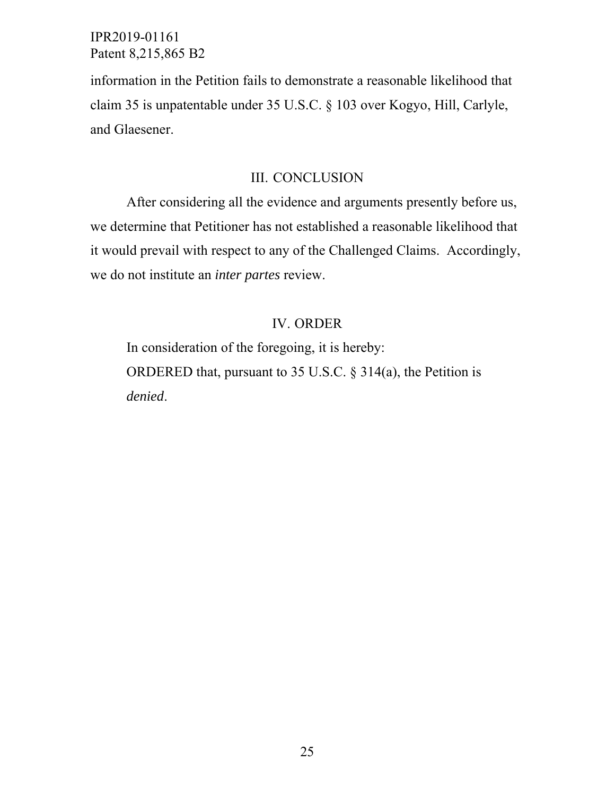information in the Petition fails to demonstrate a reasonable likelihood that claim 35 is unpatentable under 35 U.S.C. § 103 over Kogyo, Hill, Carlyle, and Glaesener.

# III. CONCLUSION

After considering all the evidence and arguments presently before us, we determine that Petitioner has not established a reasonable likelihood that it would prevail with respect to any of the Challenged Claims. Accordingly, we do not institute an *inter partes* review.

# IV. ORDER

In consideration of the foregoing, it is hereby: ORDERED that, pursuant to 35 U.S.C. § 314(a), the Petition is *denied*.